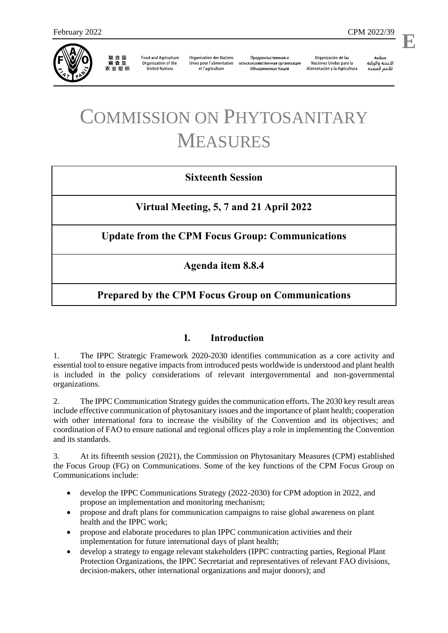

联合国<br>粮食及 农业组织

**Food and Agriculture** Organization of the **United Nations** 

**Organisation des Nations** Unies pour l'alimentation et l'agriculture

Продовольственная и сельскохозяйственная организация Объелиненных Наций

Organización de las Naciones Unidas para la Alimentación y la Agricultura

منظمة الأغذية والزراعة للأمم المتحدة

l,

# COMMISSION ON PHYTOSANITARY MEASURES

# **Sixteenth Session**

**Virtual Meeting, 5, 7 and 21 April 2022**

**Update from the CPM Focus Group: Communications**

**Agenda item 8.8.4**

# **Prepared by the CPM Focus Group on Communications**

## **I. Introduction**

1. The IPPC Strategic Framework 2020-2030 identifies communication as a core activity and essential tool to ensure negative impacts from introduced pests worldwide is understood and plant health is included in the policy considerations of relevant intergovernmental and non-governmental organizations.

2. The IPPC Communication Strategy guides the communication efforts. The 2030 key result areas include effective communication of phytosanitary issues and the importance of plant health; cooperation with other international fora to increase the visibility of the Convention and its objectives; and coordination of FAO to ensure national and regional offices play a role in implementing the Convention and its standards.

3. At its fifteenth session (2021), the Commission on Phytosanitary Measures (CPM) established the Focus Group (FG) on Communications. Some of the key functions of the CPM Focus Group on Communications include:

- develop the IPPC Communications Strategy (2022-2030) for CPM adoption in 2022, and propose an implementation and monitoring mechanism;
- propose and draft plans for communication campaigns to raise global awareness on plant health and the IPPC work;
- propose and elaborate procedures to plan IPPC communication activities and their implementation for future international days of plant health;
- develop a strategy to engage relevant stakeholders (IPPC contracting parties, Regional Plant Protection Organizations, the IPPC Secretariat and representatives of relevant FAO divisions, decision-makers, other international organizations and major donors); and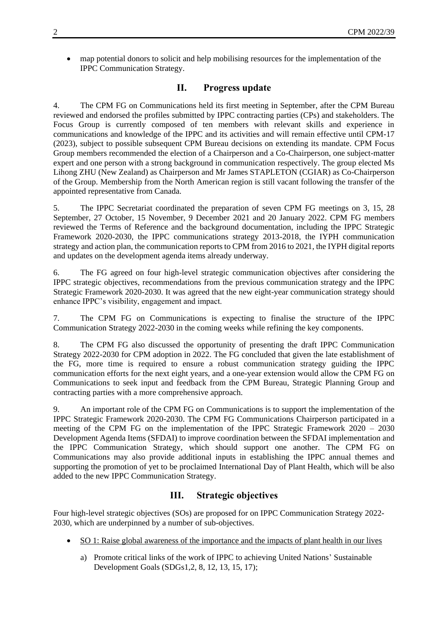map potential donors to solicit and help mobilising resources for the implementation of the IPPC Communication Strategy.

#### **II. Progress update**

4. The CPM FG on Communications held its first meeting in September, after the CPM Bureau reviewed and endorsed the profiles submitted by IPPC contracting parties (CPs) and stakeholders. The Focus Group is currently composed of ten members with relevant skills and experience in communications and knowledge of the IPPC and its activities and will remain effective until CPM-17 (2023), subject to possible subsequent CPM Bureau decisions on extending its mandate. CPM Focus Group members recommended the election of a Chairperson and a Co-Chairperson, one subject-matter expert and one person with a strong background in communication respectively. The group elected Ms Lihong ZHU (New Zealand) as Chairperson and Mr James STAPLETON (CGIAR) as Co-Chairperson of the Group. Membership from the North American region is still vacant following the transfer of the appointed representative from Canada.

5. The IPPC Secretariat coordinated the preparation of seven CPM FG meetings on 3, 15, 28 September, 27 October, 15 November, 9 December 2021 and 20 January 2022. CPM FG members reviewed the Terms of Reference and the background documentation, including the IPPC Strategic Framework 2020-2030, the IPPC communications strategy 2013-2018, the IYPH communication strategy and action plan, the communication reports to CPM from 2016 to 2021, the IYPH digital reports and updates on the development agenda items already underway.

6. The FG agreed on four high-level strategic communication objectives after considering the IPPC strategic objectives, recommendations from the previous communication strategy and the IPPC Strategic Framework 2020-2030. It was agreed that the new eight-year communication strategy should enhance IPPC's visibility, engagement and impact.

7. The CPM FG on Communications is expecting to finalise the structure of the IPPC Communication Strategy 2022-2030 in the coming weeks while refining the key components.

8. The CPM FG also discussed the opportunity of presenting the draft IPPC Communication Strategy 2022-2030 for CPM adoption in 2022. The FG concluded that given the late establishment of the FG, more time is required to ensure a robust communication strategy guiding the IPPC communication efforts for the next eight years, and a one-year extension would allow the CPM FG on Communications to seek input and feedback from the CPM Bureau, Strategic Planning Group and contracting parties with a more comprehensive approach.

9. An important role of the CPM FG on Communications is to support the implementation of the IPPC Strategic Framework 2020-2030. The CPM FG Communications Chairperson participated in a meeting of the CPM FG on the implementation of the IPPC Strategic Framework 2020 – 2030 Development Agenda Items (SFDAI) to improve coordination between the SFDAI implementation and the IPPC Communication Strategy, which should support one another. The CPM FG on Communications may also provide additional inputs in establishing the IPPC annual themes and supporting the promotion of yet to be proclaimed International Day of Plant Health, which will be also added to the new IPPC Communication Strategy.

#### **III. Strategic objectives**

Four high-level strategic objectives (SOs) are proposed for on IPPC Communication Strategy 2022- 2030, which are underpinned by a number of sub-objectives.

- SO 1: Raise global awareness of the importance and the impacts of plant health in our lives
	- a) Promote critical links of the work of IPPC to achieving United Nations' Sustainable Development Goals (SDGs1,2, 8, 12, 13, 15, 17);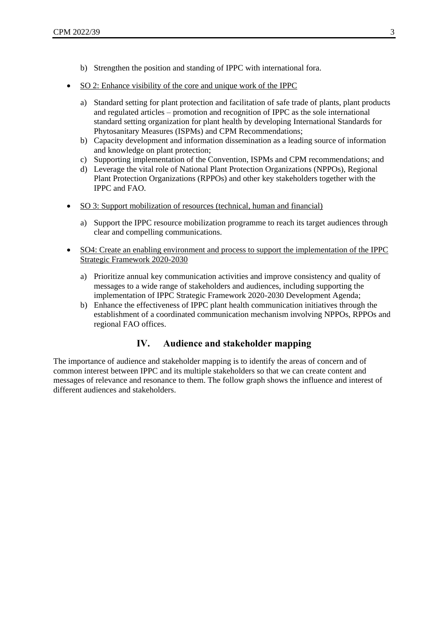- b) Strengthen the position and standing of IPPC with international fora.
- SO 2: Enhance visibility of the core and unique work of the IPPC
	- a) Standard setting for plant protection and facilitation of safe trade of plants, plant products and regulated articles – promotion and recognition of IPPC as the sole international standard setting organization for plant health by developing International Standards for Phytosanitary Measures (ISPMs) and CPM Recommendations;
	- b) Capacity development and information dissemination as a leading source of information and knowledge on plant protection;
	- c) Supporting implementation of the Convention, ISPMs and CPM recommendations; and
	- d) Leverage the vital role of National Plant Protection Organizations (NPPOs), Regional Plant Protection Organizations (RPPOs) and other key stakeholders together with the IPPC and FAO.
- SO 3: Support mobilization of resources (technical, human and financial)
	- a) Support the IPPC resource mobilization programme to reach its target audiences through clear and compelling communications.
- SO4: Create an enabling environment and process to support the implementation of the IPPC Strategic Framework 2020-2030
	- a) Prioritize annual key communication activities and improve consistency and quality of messages to a wide range of stakeholders and audiences, including supporting the implementation of IPPC Strategic Framework 2020-2030 Development Agenda;
	- b) Enhance the effectiveness of IPPC plant health communication initiatives through the establishment of a coordinated communication mechanism involving NPPOs, RPPOs and regional FAO offices.

## **IV. Audience and stakeholder mapping**

The importance of audience and stakeholder mapping is to identify the areas of concern and of common interest between IPPC and its multiple stakeholders so that we can create content and messages of relevance and resonance to them. The follow graph shows the influence and interest of different audiences and stakeholders.